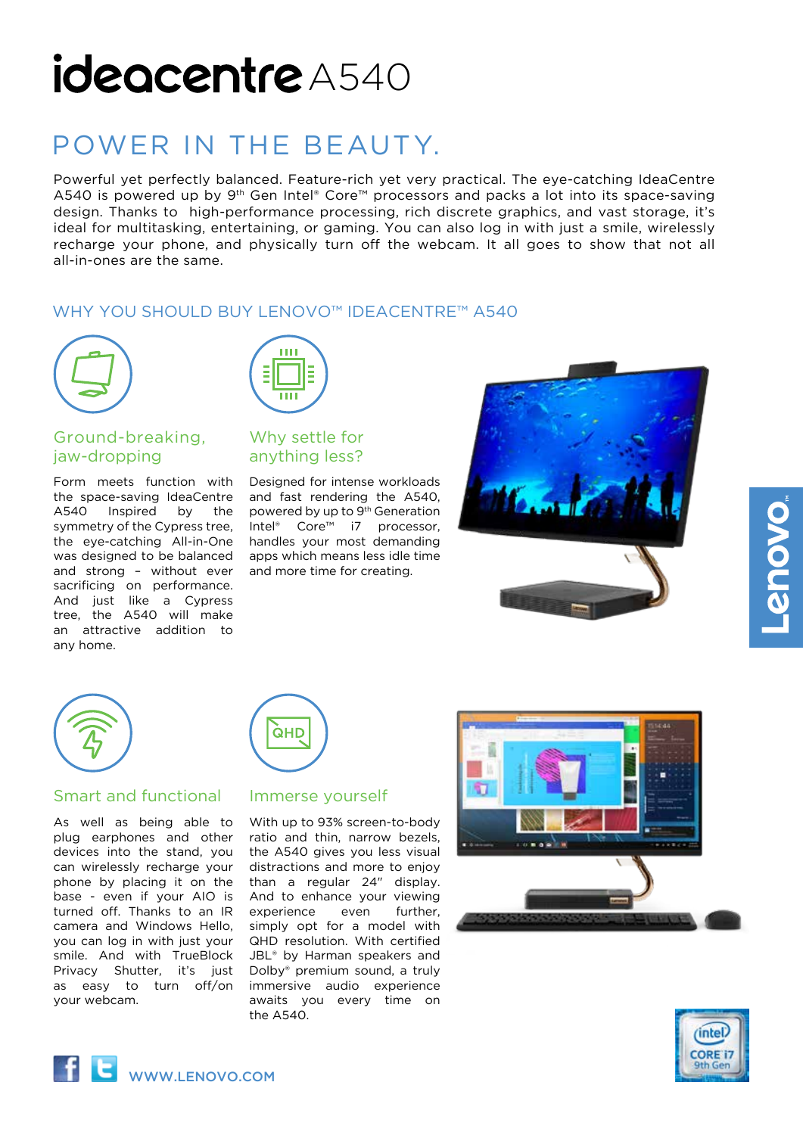# ideocentre A540

## POWER IN THE BEAUTY.

Powerful yet perfectly balanced. Feature-rich yet very practical. The eye-catching IdeaCentre A540 is powered up by 9<sup>th</sup> Gen Intel® Core<sup>™</sup> processors and packs a lot into its space-saving design. Thanks to high-performance processing, rich discrete graphics, and vast storage, it's ideal for multitasking, entertaining, or gaming. You can also log in with just a smile, wirelessly recharge your phone, and physically turn off the webcam. It all goes to show that not all all-in-ones are the same.

## WHY YOU SHOULD BUY LENOVO™ IDEACENTRE™ A540



## Ground-breaking, jaw-dropping

Form meets function with the space-saving IdeaCentre A540 Inspired by the symmetry of the Cypress tree, the eye-catching All-in-One was designed to be balanced and strong – without ever sacrificing on performance. And just like a Cypress tree, the A540 will make an attractive addition to any home.



## Why settle for anything less?

Designed for intense workloads and fast rendering the A540, powered by up to 9th Generation Intel® Core™ i7 processor, handles your most demanding apps which means less idle time and more time for creating.





## Smart and functional

As well as being able to plug earphones and other devices into the stand, you can wirelessly recharge your phone by placing it on the base - even if your AIO is turned off. Thanks to an IR camera and Windows Hello, you can log in with just your smile. And with TrueBlock Privacy Shutter, it's just as easy to turn off/on your webcam.

## Immerse yourself

**QHD** 

With up to 93% screen-to-body ratio and thin, narrow bezels, the A540 gives you less visual distractions and more to enjoy than a regular 24" display. And to enhance your viewing experience even further, simply opt for a model with QHD resolution. With certified JBL<sup>®</sup> by Harman speakers and Dolby® premium sound, a truly immersive audio experience awaits you every time on the A540.





**OVOUS**.